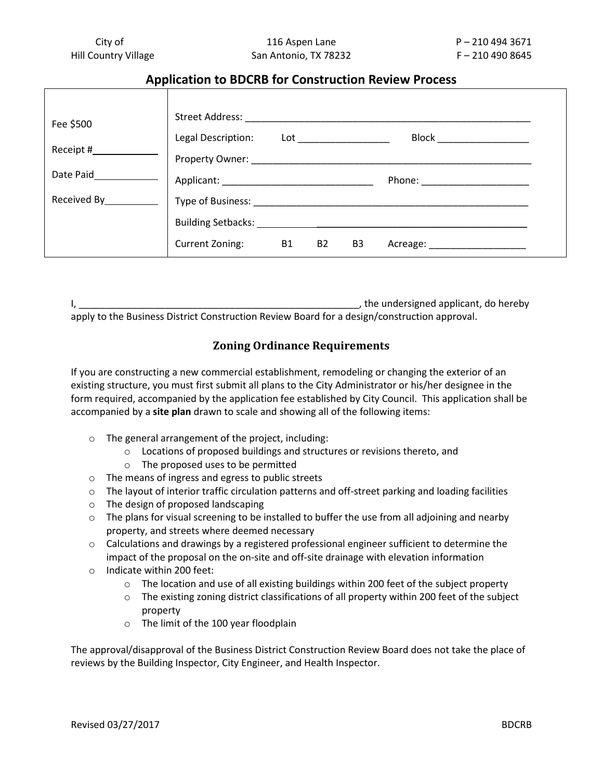# **Application to BDCRB for Construction Review Process**

| Fee \$500              | Street Address: National Address:                                                             |  |
|------------------------|-----------------------------------------------------------------------------------------------|--|
|                        | Block _________<br>Legal Description:<br>$\mathsf{Lot}$ and $\mathsf{not}$ and $\mathsf{not}$ |  |
| Receipt #              | Property Owner:                                                                               |  |
| Date Paid              | Applicant: ____________<br>Phone: 2000                                                        |  |
| Received By___________ | Type of Business: New York Contracts                                                          |  |
|                        | Building Setbacks: 1986                                                                       |  |
|                        | <b>B1</b><br>Current Zoning:<br><b>B2</b><br>B <sub>3</sub><br>Acreage:                       |  |

|                                                                                              | the undersigned applicant, do hereby |
|----------------------------------------------------------------------------------------------|--------------------------------------|
| apply to the Business District Construction Review Board for a design/construction approval. |                                      |

## **Zoning Ordinance Requirements**

If you are constructing a new commercial establishment, remodeling or changing the exterior of an existing structure, you must first submit all plans to the City Administrator or his/her designee in the form required, accompanied by the application fee established by City Council. This application shall be accompanied by a **site plan** drawn to scale and showing all of the following items:

- o The general arrangement of the project, including:
	- o Locations of proposed buildings and structures or revisions thereto, and
		- o The proposed uses to be permitted
- o The means of ingress and egress to public streets
- $\circ$  The layout of interior traffic circulation patterns and off-street parking and loading facilities
- o The design of proposed landscaping
- $\circ$  The plans for visual screening to be installed to buffer the use from all adjoining and nearby property, and streets where deemed necessary
- $\circ$  Calculations and drawings by a registered professional engineer sufficient to determine the impact of the proposal on the on-site and off-site drainage with elevation information
- o Indicate within 200 feet:
	- $\circ$  The location and use of all existing buildings within 200 feet of the subject property
	- $\circ$  The existing zoning district classifications of all property within 200 feet of the subject property
	- o The limit of the 100 year floodplain

The approval/disapproval of the Business District Construction Review Board does not take the place of reviews by the Building Inspector, City Engineer, and Health Inspector.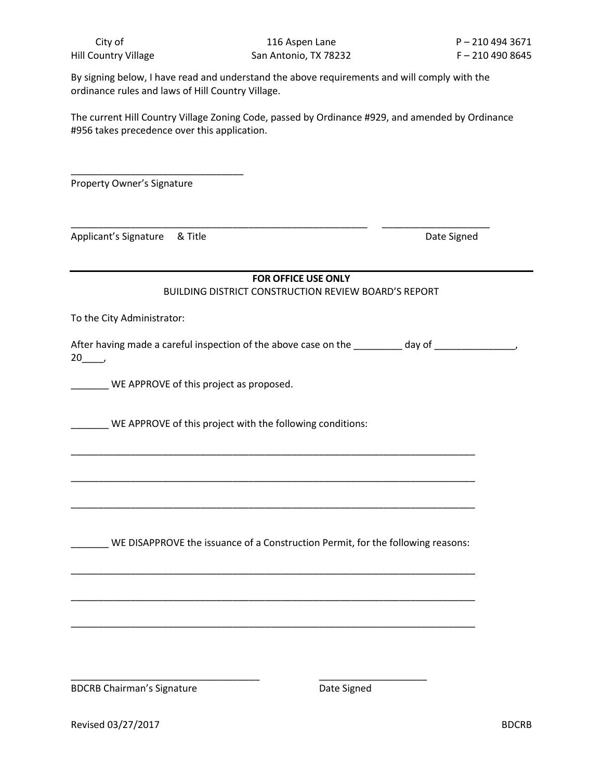By signing below, I have read and understand the above requirements and will comply with the ordinance rules and laws of Hill Country Village.

\_\_\_\_\_\_\_\_\_\_\_\_\_\_\_\_\_\_\_\_\_\_\_\_\_\_\_\_\_\_\_\_\_\_\_\_\_\_\_\_\_\_\_\_\_\_\_\_\_\_\_\_\_\_\_ \_\_\_\_\_\_\_\_\_\_\_\_\_\_\_\_\_\_\_\_

The current Hill Country Village Zoning Code, passed by Ordinance #929, and amended by Ordinance #956 takes precedence over this application.

Property Owner's Signature

\_\_\_\_\_\_\_\_\_\_\_\_\_\_\_\_\_\_\_\_\_\_\_\_\_\_\_\_\_\_\_\_

Applicant's Signature & Title **Exercise Signed** Date Signed

# **FOR OFFICE USE ONLY** BUILDING DISTRICT CONSTRUCTION REVIEW BOARD'S REPORT

To the City Administrator:

After having made a careful inspection of the above case on the day of day of  $\qquad \qquad$  $20$ ,

\_\_\_\_\_\_\_ WE APPROVE of this project as proposed.

\_\_\_\_\_\_ WE APPROVE of this project with the following conditions:

WE DISAPPROVE the issuance of a Construction Permit, for the following reasons:

\_\_\_\_\_\_\_\_\_\_\_\_\_\_\_\_\_\_\_\_\_\_\_\_\_\_\_\_\_\_\_\_\_\_\_\_\_\_\_\_\_\_\_\_\_\_\_\_\_\_\_\_\_\_\_\_\_\_\_\_\_\_\_\_\_\_\_\_\_\_\_\_\_\_\_

\_\_\_\_\_\_\_\_\_\_\_\_\_\_\_\_\_\_\_\_\_\_\_\_\_\_\_\_\_\_\_\_\_\_\_\_\_\_\_\_\_\_\_\_\_\_\_\_\_\_\_\_\_\_\_\_\_\_\_\_\_\_\_\_\_\_\_\_\_\_\_\_\_\_\_

\_\_\_\_\_\_\_\_\_\_\_\_\_\_\_\_\_\_\_\_\_\_\_\_\_\_\_\_\_\_\_\_\_\_\_\_\_\_\_\_\_\_\_\_\_\_\_\_\_\_\_\_\_\_\_\_\_\_\_\_\_\_\_\_\_\_\_\_\_\_\_\_\_\_\_

\_\_\_\_\_\_\_\_\_\_\_\_\_\_\_\_\_\_\_\_\_\_\_\_\_\_\_\_\_\_\_\_\_\_\_\_\_\_\_\_\_\_\_\_\_\_\_\_\_\_\_\_\_\_\_\_\_\_\_\_\_\_\_\_\_\_\_\_\_\_\_\_\_\_\_

\_\_\_\_\_\_\_\_\_\_\_\_\_\_\_\_\_\_\_\_\_\_\_\_\_\_\_\_\_\_\_\_\_\_\_\_\_\_\_\_\_\_\_\_\_\_\_\_\_\_\_\_\_\_\_\_\_\_\_\_\_\_\_\_\_\_\_\_\_\_\_\_\_\_\_

\_\_\_\_\_\_\_\_\_\_\_\_\_\_\_\_\_\_\_\_\_\_\_\_\_\_\_\_\_\_\_\_\_\_\_\_\_\_\_\_\_\_\_\_\_\_\_\_\_\_\_\_\_\_\_\_\_\_\_\_\_\_\_\_\_\_\_\_\_\_\_\_\_\_\_

\_\_\_\_\_\_\_\_\_\_\_\_\_\_\_\_\_\_\_\_\_\_\_\_\_\_\_\_\_\_\_\_\_\_\_ \_\_\_\_\_\_\_\_\_\_\_\_\_\_\_\_\_\_\_\_

BDCRB Chairman's Signature **Date Signed** Date Signed

Revised 03/27/2017 **BDCRB**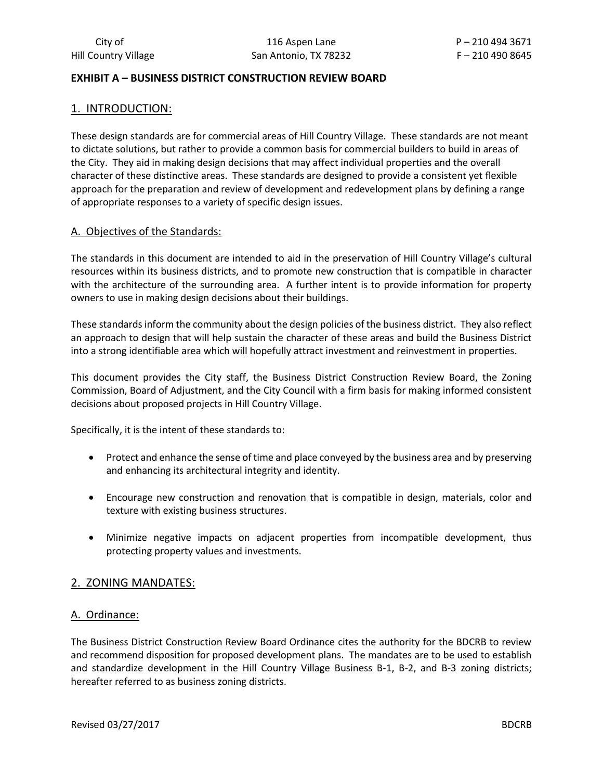## **EXHIBIT A – BUSINESS DISTRICT CONSTRUCTION REVIEW BOARD**

## 1. INTRODUCTION:

These design standards are for commercial areas of Hill Country Village. These standards are not meant to dictate solutions, but rather to provide a common basis for commercial builders to build in areas of the City. They aid in making design decisions that may affect individual properties and the overall character of these distinctive areas. These standards are designed to provide a consistent yet flexible approach for the preparation and review of development and redevelopment plans by defining a range of appropriate responses to a variety of specific design issues.

## A. Objectives of the Standards:

The standards in this document are intended to aid in the preservation of Hill Country Village's cultural resources within its business districts, and to promote new construction that is compatible in character with the architecture of the surrounding area. A further intent is to provide information for property owners to use in making design decisions about their buildings.

These standards inform the community about the design policies of the business district. They also reflect an approach to design that will help sustain the character of these areas and build the Business District into a strong identifiable area which will hopefully attract investment and reinvestment in properties.

This document provides the City staff, the Business District Construction Review Board, the Zoning Commission, Board of Adjustment, and the City Council with a firm basis for making informed consistent decisions about proposed projects in Hill Country Village.

Specifically, it is the intent of these standards to:

- Protect and enhance the sense of time and place conveyed by the business area and by preserving and enhancing its architectural integrity and identity.
- Encourage new construction and renovation that is compatible in design, materials, color and texture with existing business structures.
- Minimize negative impacts on adjacent properties from incompatible development, thus protecting property values and investments.

## 2. ZONING MANDATES:

## A. Ordinance:

The Business District Construction Review Board Ordinance cites the authority for the BDCRB to review and recommend disposition for proposed development plans. The mandates are to be used to establish and standardize development in the Hill Country Village Business B-1, B-2, and B-3 zoning districts; hereafter referred to as business zoning districts.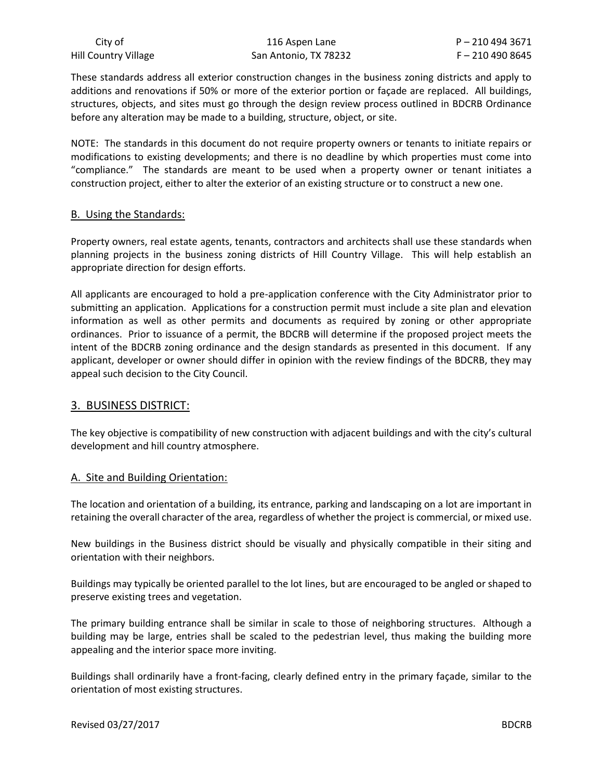These standards address all exterior construction changes in the business zoning districts and apply to additions and renovations if 50% or more of the exterior portion or façade are replaced. All buildings, structures, objects, and sites must go through the design review process outlined in BDCRB Ordinance before any alteration may be made to a building, structure, object, or site.

NOTE: The standards in this document do not require property owners or tenants to initiate repairs or modifications to existing developments; and there is no deadline by which properties must come into "compliance." The standards are meant to be used when a property owner or tenant initiates a construction project, either to alter the exterior of an existing structure or to construct a new one.

#### B. Using the Standards:

Property owners, real estate agents, tenants, contractors and architects shall use these standards when planning projects in the business zoning districts of Hill Country Village. This will help establish an appropriate direction for design efforts.

All applicants are encouraged to hold a pre-application conference with the City Administrator prior to submitting an application. Applications for a construction permit must include a site plan and elevation information as well as other permits and documents as required by zoning or other appropriate ordinances. Prior to issuance of a permit, the BDCRB will determine if the proposed project meets the intent of the BDCRB zoning ordinance and the design standards as presented in this document. If any applicant, developer or owner should differ in opinion with the review findings of the BDCRB, they may appeal such decision to the City Council.

## 3. BUSINESS DISTRICT:

The key objective is compatibility of new construction with adjacent buildings and with the city's cultural development and hill country atmosphere.

## A. Site and Building Orientation:

The location and orientation of a building, its entrance, parking and landscaping on a lot are important in retaining the overall character of the area, regardless of whether the project is commercial, or mixed use.

New buildings in the Business district should be visually and physically compatible in their siting and orientation with their neighbors.

Buildings may typically be oriented parallel to the lot lines, but are encouraged to be angled or shaped to preserve existing trees and vegetation.

The primary building entrance shall be similar in scale to those of neighboring structures. Although a building may be large, entries shall be scaled to the pedestrian level, thus making the building more appealing and the interior space more inviting.

Buildings shall ordinarily have a front-facing, clearly defined entry in the primary façade, similar to the orientation of most existing structures.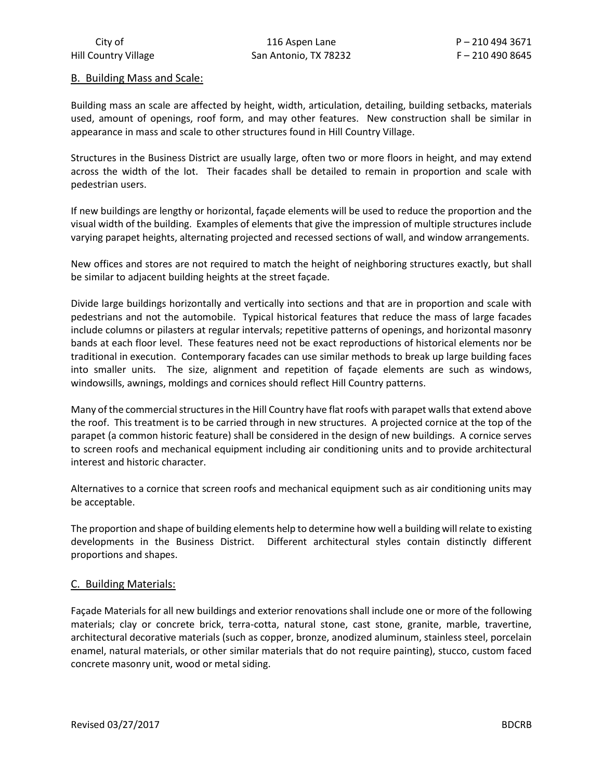City of 210 494 3671 2010 116 Aspen Lane 2010 116 Aspen Lane Hill Country Village San Antonio, TX 78232 F – 210 490 8645

#### B. Building Mass and Scale:

Building mass an scale are affected by height, width, articulation, detailing, building setbacks, materials used, amount of openings, roof form, and may other features. New construction shall be similar in appearance in mass and scale to other structures found in Hill Country Village.

Structures in the Business District are usually large, often two or more floors in height, and may extend across the width of the lot. Their facades shall be detailed to remain in proportion and scale with pedestrian users.

If new buildings are lengthy or horizontal, façade elements will be used to reduce the proportion and the visual width of the building. Examples of elements that give the impression of multiple structures include varying parapet heights, alternating projected and recessed sections of wall, and window arrangements.

New offices and stores are not required to match the height of neighboring structures exactly, but shall be similar to adjacent building heights at the street façade.

Divide large buildings horizontally and vertically into sections and that are in proportion and scale with pedestrians and not the automobile. Typical historical features that reduce the mass of large facades include columns or pilasters at regular intervals; repetitive patterns of openings, and horizontal masonry bands at each floor level. These features need not be exact reproductions of historical elements nor be traditional in execution. Contemporary facades can use similar methods to break up large building faces into smaller units. The size, alignment and repetition of façade elements are such as windows, windowsills, awnings, moldings and cornices should reflect Hill Country patterns.

Many of the commercial structures in the Hill Country have flat roofs with parapet walls that extend above the roof. This treatment is to be carried through in new structures. A projected cornice at the top of the parapet (a common historic feature) shall be considered in the design of new buildings. A cornice serves to screen roofs and mechanical equipment including air conditioning units and to provide architectural interest and historic character.

Alternatives to a cornice that screen roofs and mechanical equipment such as air conditioning units may be acceptable.

The proportion and shape of building elements help to determine how well a building will relate to existing developments in the Business District. Different architectural styles contain distinctly different proportions and shapes.

## C. Building Materials:

Façade Materials for all new buildings and exterior renovations shall include one or more of the following materials; clay or concrete brick, terra-cotta, natural stone, cast stone, granite, marble, travertine, architectural decorative materials (such as copper, bronze, anodized aluminum, stainless steel, porcelain enamel, natural materials, or other similar materials that do not require painting), stucco, custom faced concrete masonry unit, wood or metal siding.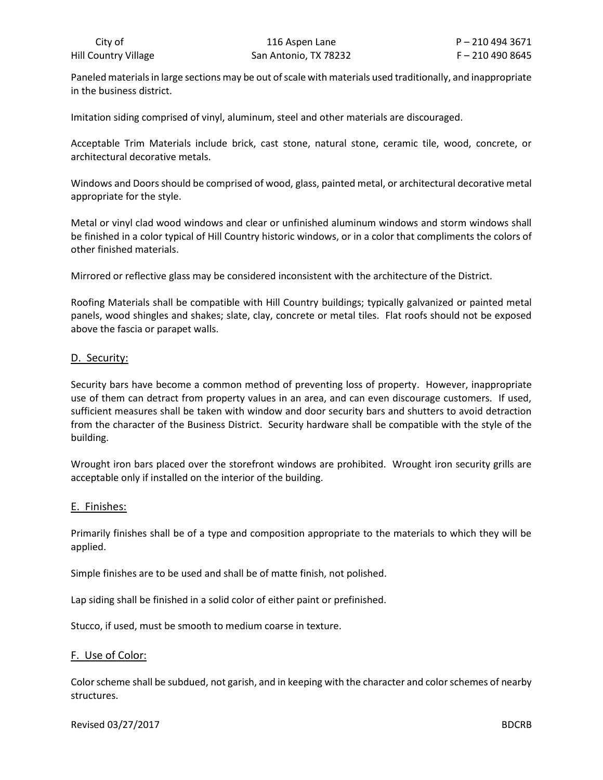Paneled materials in large sections may be out of scale with materials used traditionally, and inappropriate in the business district.

Imitation siding comprised of vinyl, aluminum, steel and other materials are discouraged.

Acceptable Trim Materials include brick, cast stone, natural stone, ceramic tile, wood, concrete, or architectural decorative metals.

Windows and Doors should be comprised of wood, glass, painted metal, or architectural decorative metal appropriate for the style.

Metal or vinyl clad wood windows and clear or unfinished aluminum windows and storm windows shall be finished in a color typical of Hill Country historic windows, or in a color that compliments the colors of other finished materials.

Mirrored or reflective glass may be considered inconsistent with the architecture of the District.

Roofing Materials shall be compatible with Hill Country buildings; typically galvanized or painted metal panels, wood shingles and shakes; slate, clay, concrete or metal tiles. Flat roofs should not be exposed above the fascia or parapet walls.

#### D. Security:

Security bars have become a common method of preventing loss of property. However, inappropriate use of them can detract from property values in an area, and can even discourage customers. If used, sufficient measures shall be taken with window and door security bars and shutters to avoid detraction from the character of the Business District. Security hardware shall be compatible with the style of the building.

Wrought iron bars placed over the storefront windows are prohibited. Wrought iron security grills are acceptable only if installed on the interior of the building.

## E. Finishes:

Primarily finishes shall be of a type and composition appropriate to the materials to which they will be applied.

Simple finishes are to be used and shall be of matte finish, not polished.

Lap siding shall be finished in a solid color of either paint or prefinished.

Stucco, if used, must be smooth to medium coarse in texture.

## F. Use of Color:

Color scheme shall be subdued, not garish, and in keeping with the character and color schemes of nearby structures.

#### Revised 03/27/2017 **BDCRB**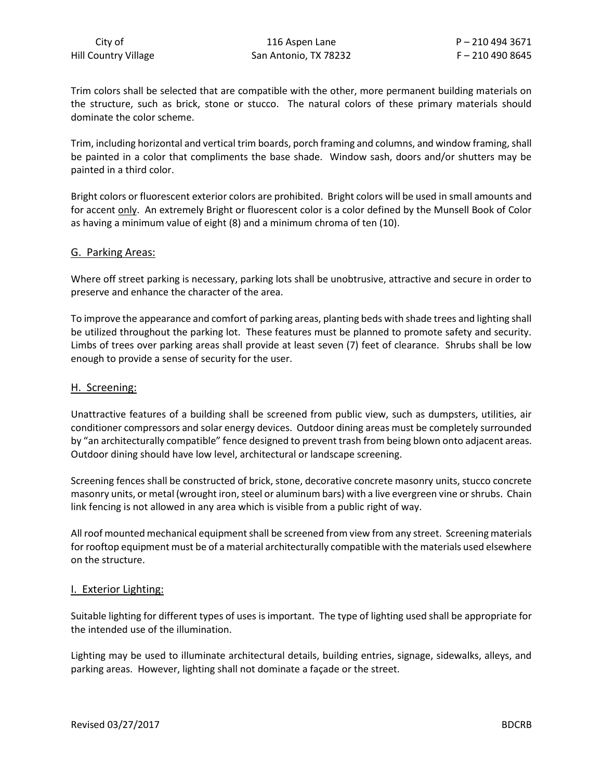Trim colors shall be selected that are compatible with the other, more permanent building materials on the structure, such as brick, stone or stucco. The natural colors of these primary materials should dominate the color scheme.

Trim, including horizontal and vertical trim boards, porch framing and columns, and window framing, shall be painted in a color that compliments the base shade. Window sash, doors and/or shutters may be painted in a third color.

Bright colors or fluorescent exterior colors are prohibited. Bright colors will be used in small amounts and for accent only. An extremely Bright or fluorescent color is a color defined by the Munsell Book of Color as having a minimum value of eight (8) and a minimum chroma of ten (10).

#### G. Parking Areas:

Where off street parking is necessary, parking lots shall be unobtrusive, attractive and secure in order to preserve and enhance the character of the area.

To improve the appearance and comfort of parking areas, planting beds with shade trees and lighting shall be utilized throughout the parking lot. These features must be planned to promote safety and security. Limbs of trees over parking areas shall provide at least seven (7) feet of clearance. Shrubs shall be low enough to provide a sense of security for the user.

#### H. Screening:

Unattractive features of a building shall be screened from public view, such as dumpsters, utilities, air conditioner compressors and solar energy devices. Outdoor dining areas must be completely surrounded by "an architecturally compatible" fence designed to prevent trash from being blown onto adjacent areas. Outdoor dining should have low level, architectural or landscape screening.

Screening fences shall be constructed of brick, stone, decorative concrete masonry units, stucco concrete masonry units, or metal (wrought iron, steel or aluminum bars) with a live evergreen vine or shrubs. Chain link fencing is not allowed in any area which is visible from a public right of way.

All roof mounted mechanical equipment shall be screened from view from any street. Screening materials for rooftop equipment must be of a material architecturally compatible with the materials used elsewhere on the structure.

#### I. Exterior Lighting:

Suitable lighting for different types of uses is important. The type of lighting used shall be appropriate for the intended use of the illumination.

Lighting may be used to illuminate architectural details, building entries, signage, sidewalks, alleys, and parking areas. However, lighting shall not dominate a façade or the street.